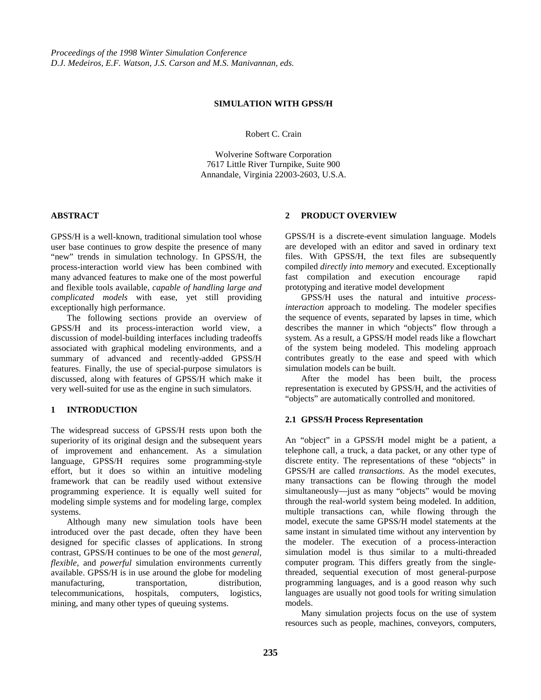## **SIMULATION WITH GPSS/H**

Robert C. Crain

Wolverine Software Corporation 7617 Little River Turnpike, Suite 900 Annandale, Virginia 22003-2603, U.S.A.

## **ABSTRACT**

GPSS/H is a well-known, traditional simulation tool whose user base continues to grow despite the presence of many "new" trends in simulation technology. In GPSS/H, the process-interaction world view has been combined with many advanced features to make one of the most powerful and flexible tools available, *capable of handling large and complicated models* with ease, yet still providing exceptionally high performance.

The following sections provide an overview of GPSS/H and its process-interaction world view, a discussion of model-building interfaces including tradeoffs associated with graphical modeling environments, and a summary of advanced and recently-added GPSS/H features. Finally, the use of special-purpose simulators is discussed, along with features of GPSS/H which make it very well-suited for use as the engine in such simulators.

## **1 INTRODUCTION**

The widespread success of GPSS/H rests upon both the superiority of its original design and the subsequent years of improvement and enhancement. As a simulation language, GPSS/H requires some programming-style effort, but it does so within an intuitive modeling framework that can be readily used without extensive programming experience. It is equally well suited for modeling simple systems and for modeling large, complex systems.

Although many new simulation tools have been introduced over the past decade, often they have been designed for specific classes of applications. In strong contrast, GPSS/H continues to be one of the most *general*, *flexible*, and *powerful* simulation environments currently available. GPSS/H is in use around the globe for modeling manufacturing, transportation, distribution, telecommunications, hospitals, computers, logistics, mining, and many other types of queuing systems.

## **2 PRODUCT OVERVIEW**

GPSS/H is a discrete-event simulation language. Models are developed with an editor and saved in ordinary text files. With GPSS/H, the text files are subsequently compiled *directly into memory* and executed. Exceptionally fast compilation and execution encourage rapid prototyping and iterative model development

GPSS/H uses the natural and intuitive *processinteraction* approach to modeling. The modeler specifies the sequence of events, separated by lapses in time, which describes the manner in which "objects" flow through a system. As a result, a GPSS/H model reads like a flowchart of the system being modeled. This modeling approach contributes greatly to the ease and speed with which simulation models can be built.

After the model has been built, the process representation is executed by GPSS/H, and the activities of "objects" are automatically controlled and monitored.

## **2.1 GPSS/H Process Representation**

An "object" in a GPSS/H model might be a patient, a telephone call, a truck, a data packet, or any other type of discrete entity. The representations of these "objects" in GPSS/H are called *transactions*. As the model executes, many transactions can be flowing through the model simultaneously—just as many "objects" would be moving through the real-world system being modeled. In addition, multiple transactions can, while flowing through the model, execute the same GPSS/H model statements at the same instant in simulated time without any intervention by the modeler. The execution of a process-interaction simulation model is thus similar to a multi-threaded computer program. This differs greatly from the singlethreaded, sequential execution of most general-purpose programming languages, and is a good reason why such languages are usually not good tools for writing simulation models.

Many simulation projects focus on the use of system resources such as people, machines, conveyors, computers,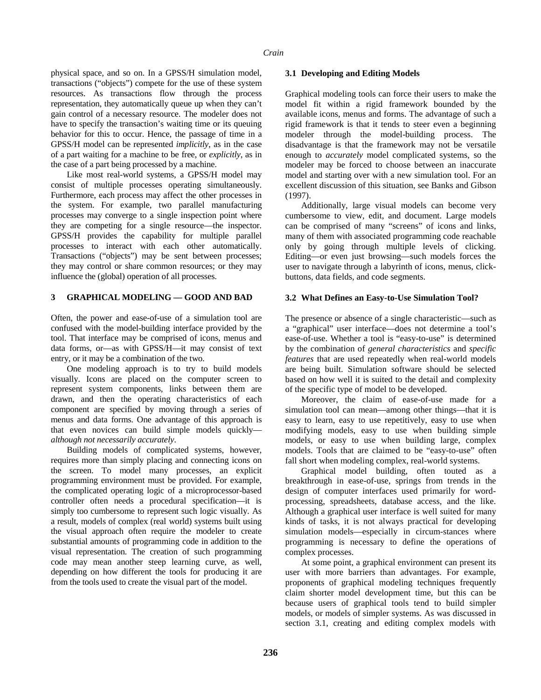physical space, and so on. In a GPSS/H simulation model, transactions ("objects") compete for the use of these system resources. As transactions flow through the process representation, they automatically queue up when they can't gain control of a necessary resource. The modeler does not have to specify the transaction's waiting time or its queuing behavior for this to occur. Hence, the passage of time in a GPSS/H model can be represented *implicitly*, as in the case of a part waiting for a machine to be free, or *explicitly*, as in the case of a part being processed by a machine.

Like most real-world systems, a GPSS/H model may consist of multiple processes operating simultaneously. Furthermore, each process may affect the other processes in the system. For example, two parallel manufacturing processes may converge to a single inspection point where they are competing for a single resource—the inspector. GPSS/H provides the capability for multiple parallel processes to interact with each other automatically. Transactions ("objects") may be sent between processes; they may control or share common resources; or they may influence the (global) operation of all processes.

### **3 GRAPHICAL MODELING — GOOD AND BAD**

Often, the power and ease-of-use of a simulation tool are confused with the model-building interface provided by the tool. That interface may be comprised of icons, menus and data forms, or—as with GPSS/H—it may consist of text entry, or it may be a combination of the two.

One modeling approach is to try to build models visually. Icons are placed on the computer screen to represent system components, links between them are drawn, and then the operating characteristics of each component are specified by moving through a series of menus and data forms. One advantage of this approach is that even novices can build simple models quickly *although not necessarily accurately*.

Building models of complicated systems, however, requires more than simply placing and connecting icons on the screen. To model many processes, an explicit programming environment must be provided. For example, the complicated operating logic of a microprocessor-based controller often needs a procedural specification—it is simply too cumbersome to represent such logic visually. As a result, models of complex (real world) systems built using the visual approach often require the modeler to create substantial amounts of programming code in addition to the visual representation. The creation of such programming code may mean another steep learning curve, as well, depending on how different the tools for producing it are from the tools used to create the visual part of the model.

### **3.1 Developing and Editing Models**

Graphical modeling tools can force their users to make the model fit within a rigid framework bounded by the available icons, menus and forms. The advantage of such a rigid framework is that it tends to steer even a beginning modeler through the model-building process. The disadvantage is that the framework may not be versatile enough to *accurately* model complicated systems, so the modeler may be forced to choose between an inaccurate model and starting over with a new simulation tool. For an excellent discussion of this situation, see Banks and Gibson (1997).

Additionally, large visual models can become very cumbersome to view, edit, and document. Large models can be comprised of many "screens" of icons and links, many of them with associated programming code reachable only by going through multiple levels of clicking. Editing—or even just browsing—such models forces the user to navigate through a labyrinth of icons, menus, clickbuttons, data fields, and code segments.

### **3.2 What Defines an Easy-to-Use Simulation Tool?**

The presence or absence of a single characteristic—such as a "graphical" user interface—does not determine a tool's ease-of-use. Whether a tool is "easy-to-use" is determined by the combination of *general characteristics* and *specific features* that are used repeatedly when real-world models are being built. Simulation software should be selected based on how well it is suited to the detail and complexity of the specific type of model to be developed.

Moreover, the claim of ease-of-use made for a simulation tool can mean—among other things—that it is easy to learn, easy to use repetitively, easy to use when modifying models, easy to use when building simple models, or easy to use when building large, complex models. Tools that are claimed to be "easy-to-use" often fall short when modeling complex, real-world systems.

Graphical model building, often touted as a breakthrough in ease-of-use, springs from trends in the design of computer interfaces used primarily for wordprocessing, spreadsheets, database access, and the like. Although a graphical user interface is well suited for many kinds of tasks, it is not always practical for developing simulation models—especially in circum-stances where programming is necessary to define the operations of complex processes.

At some point, a graphical environment can present its user with more barriers than advantages. For example, proponents of graphical modeling techniques frequently claim shorter model development time, but this can be because users of graphical tools tend to build simpler models, or models of simpler systems. As was discussed in section 3.1, creating and editing complex models with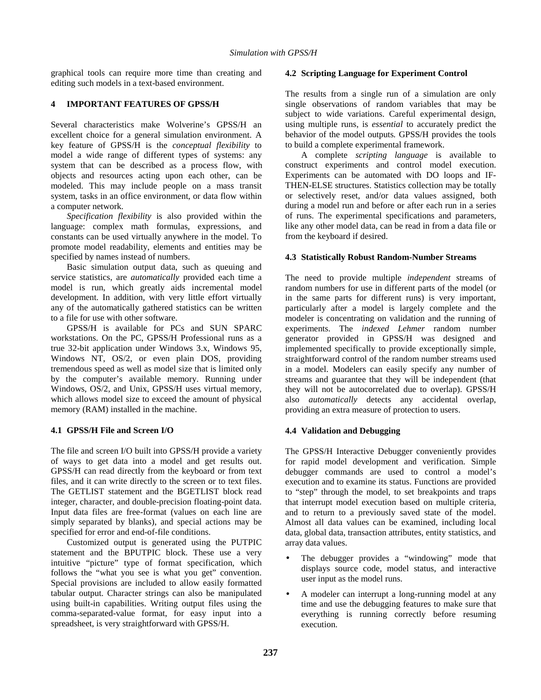graphical tools can require more time than creating and editing such models in a text-based environment.

# **4 IMPORTANT FEATURES OF GPSS/H**

Several characteristics make Wolverine's GPSS/H an excellent choice for a general simulation environment. A key feature of GPSS/H is the *conceptual flexibility* to model a wide range of different types of systems: any system that can be described as a process flow, with objects and resources acting upon each other, can be modeled. This may include people on a mass transit system, tasks in an office environment, or data flow within a computer network.

*Specification flexibility* is also provided within the language: complex math formulas, expressions, and constants can be used virtually anywhere in the model. To promote model readability, elements and entities may be specified by names instead of numbers.

Basic simulation output data, such as queuing and service statistics, are *automatically* provided each time a model is run, which greatly aids incremental model development. In addition, with very little effort virtually any of the automatically gathered statistics can be written to a file for use with other software.

GPSS/H is available for PCs and SUN SPARC workstations. On the PC, GPSS/H Professional runs as a true 32-bit application under Windows 3.x, Windows 95, Windows NT, OS/2, or even plain DOS, providing tremendous speed as well as model size that is limited only by the computer's available memory. Running under Windows, OS/2, and Unix, GPSS/H uses virtual memory, which allows model size to exceed the amount of physical memory (RAM) installed in the machine.

# **4.1 GPSS/H File and Screen I/O**

The file and screen I/O built into GPSS/H provide a variety of ways to get data into a model and get results out. GPSS/H can read directly from the keyboard or from text files, and it can write directly to the screen or to text files. The GETLIST statement and the BGETLIST block read integer, character, and double-precision floating-point data. Input data files are free-format (values on each line are simply separated by blanks), and special actions may be specified for error and end-of-file conditions.

Customized output is generated using the PUTPIC statement and the BPUTPIC block. These use a very intuitive "picture" type of format specification, which follows the "what you see is what you get" convention. Special provisions are included to allow easily formatted tabular output. Character strings can also be manipulated using built-in capabilities. Writing output files using the comma-separated-value format, for easy input into a spreadsheet, is very straightforward with GPSS/H.

# **4.2 Scripting Language for Experiment Control**

The results from a single run of a simulation are only single observations of random variables that may be subject to wide variations. Careful experimental design, using multiple runs, is *essential* to accurately predict the behavior of the model outputs*.* GPSS/H provides the tools to build a complete experimental framework.

A complete *scripting language* is available to construct experiments and control model execution. Experiments can be automated with DO loops and IF-THEN-ELSE structures. Statistics collection may be totally or selectively reset, and/or data values assigned, both during a model run and before or after each run in a series of runs. The experimental specifications and parameters, like any other model data, can be read in from a data file or from the keyboard if desired.

# **4.3 Statistically Robust Random-Number Streams**

The need to provide multiple *independent* streams of random numbers for use in different parts of the model (or in the same parts for different runs) is very important, particularly after a model is largely complete and the modeler is concentrating on validation and the running of experiments. The *indexed Lehmer* random number generator provided in GPSS/H was designed and implemented specifically to provide exceptionally simple, straightforward control of the random number streams used in a model. Modelers can easily specify any number of streams and guarantee that they will be independent (that they will not be autocorrelated due to overlap). GPSS/H also *automatically* detects any accidental overlap, providing an extra measure of protection to users.

# **4.4 Validation and Debugging**

The GPSS/H Interactive Debugger conveniently provides for rapid model development and verification. Simple debugger commands are used to control a model's execution and to examine its status. Functions are provided to "step" through the model, to set breakpoints and traps that interrupt model execution based on multiple criteria, and to return to a previously saved state of the model. Almost all data values can be examined, including local data, global data, transaction attributes, entity statistics, and array data values.

- The debugger provides a "windowing" mode that displays source code, model status, and interactive user input as the model runs.
- A modeler can interrupt a long-running model at any time and use the debugging features to make sure that everything is running correctly before resuming execution.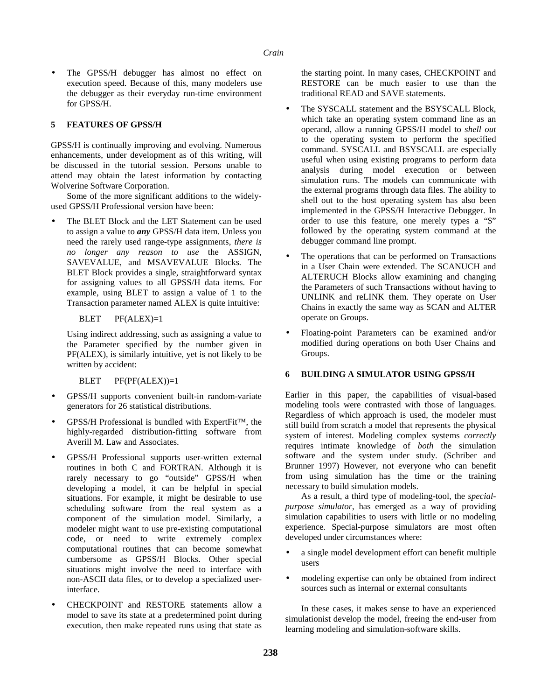The GPSS/H debugger has almost no effect on execution speed. Because of this, many modelers use the debugger as their everyday run-time environment for GPSS/H.

## **5 FEATURES OF GPSS/H**

GPSS/H is continually improving and evolving. Numerous enhancements, under development as of this writing, will be discussed in the tutorial session. Persons unable to attend may obtain the latest information by contacting Wolverine Software Corporation.

Some of the more significant additions to the widelyused GPSS/H Professional version have been:

The BLET Block and the LET Statement can be used to assign a value to *any* GPSS/H data item. Unless you need the rarely used range-type assignments, *there is no longer any reason to use* the ASSIGN, SAVEVALUE, and MSAVEVALUE Blocks*.* The BLET Block provides a single, straightforward syntax for assigning values to all GPSS/H data items. For example, using BLET to assign a value of 1 to the Transaction parameter named ALEX is quite intuitive:

BLET PF(ALEX)=1

Using indirect addressing, such as assigning a value to the Parameter specified by the number given in PF(ALEX), is similarly intuitive, yet is not likely to be written by accident:

BLET PF(PF(ALEX))=1

- GPSS/H supports convenient built-in random-variate generators for 26 statistical distributions.
- GPSS/H Professional is bundled with ExpertFit™, the highly-regarded distribution-fitting software from Averill M. Law and Associates.
- GPSS/H Professional supports user-written external routines in both C and FORTRAN. Although it is rarely necessary to go "outside" GPSS/H when developing a model, it can be helpful in special situations. For example, it might be desirable to use scheduling software from the real system as a component of the simulation model. Similarly, a modeler might want to use pre-existing computational code, or need to write extremely complex computational routines that can become somewhat cumbersome as GPSS/H Blocks. Other special situations might involve the need to interface with non-ASCII data files, or to develop a specialized userinterface.
- CHECKPOINT and RESTORE statements allow a model to save its state at a predetermined point during execution, then make repeated runs using that state as

the starting point. In many cases, CHECKPOINT and RESTORE can be much easier to use than the traditional READ and SAVE statements.

- The SYSCALL statement and the BSYSCALL Block, which take an operating system command line as an operand, allow a running GPSS/H model to *shell out* to the operating system to perform the specified command. SYSCALL and BSYSCALL are especially useful when using existing programs to perform data analysis during model execution or between simulation runs. The models can communicate with the external programs through data files. The ability to shell out to the host operating system has also been implemented in the GPSS/H Interactive Debugger. In order to use this feature, one merely types a "\$" followed by the operating system command at the debugger command line prompt.
- The operations that can be performed on Transactions in a User Chain were extended. The SCANUCH and ALTERUCH Blocks allow examining and changing the Parameters of such Transactions without having to UNLINK and reLINK them. They operate on User Chains in exactly the same way as SCAN and ALTER operate on Groups.
- Floating-point Parameters can be examined and/or modified during operations on both User Chains and Groups.

### **6 BUILDING A SIMULATOR USING GPSS/H**

Earlier in this paper, the capabilities of visual-based modeling tools were contrasted with those of languages. Regardless of which approach is used, the modeler must still build from scratch a model that represents the physical system of interest. Modeling complex systems *correctly* requires intimate knowledge of *both* the simulation software and the system under study. (Schriber and Brunner 1997) However, not everyone who can benefit from using simulation has the time or the training necessary to build simulation models.

As a result, a third type of modeling-tool, the *specialpurpose simulator*, has emerged as a way of providing simulation capabilities to users with little or no modeling experience. Special-purpose simulators are most often developed under circumstances where:

- a single model development effort can benefit multiple users
- modeling expertise can only be obtained from indirect sources such as internal or external consultants

In these cases, it makes sense to have an experienced simulationist develop the model, freeing the end-user from learning modeling and simulation-software skills.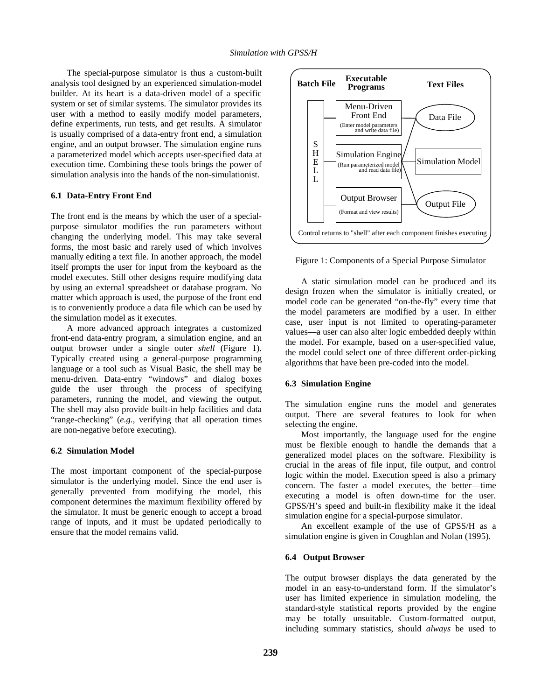The special-purpose simulator is thus a custom-built analysis tool designed by an experienced simulation-model builder. At its heart is a data-driven model of a specific system or set of similar systems. The simulator provides its user with a method to easily modify model parameters, define experiments, run tests, and get results. A simulator is usually comprised of a data-entry front end, a simulation engine, and an output browser. The simulation engine runs a parameterized model which accepts user-specified data at execution time. Combining these tools brings the power of simulation analysis into the hands of the non-simulationist.

### **6.1 Data-Entry Front End**

The front end is the means by which the user of a specialpurpose simulator modifies the run parameters without changing the underlying model. This may take several forms, the most basic and rarely used of which involves manually editing a text file. In another approach, the model itself prompts the user for input from the keyboard as the model executes. Still other designs require modifying data by using an external spreadsheet or database program. No matter which approach is used, the purpose of the front end is to conveniently produce a data file which can be used by the simulation model as it executes.

A more advanced approach integrates a customized front-end data-entry program, a simulation engine, and an output browser under a single outer *shell* (Figure 1). Typically created using a general-purpose programming language or a tool such as Visual Basic, the shell may be menu-driven. Data-entry "windows" and dialog boxes guide the user through the process of specifying parameters, running the model, and viewing the output. The shell may also provide built-in help facilities and data "range-checking" (*e.g.,* verifying that all operation times are non-negative before executing).

### **6.2 Simulation Model**

The most important component of the special-purpose simulator is the underlying model. Since the end user is generally prevented from modifying the model, this component determines the maximum flexibility offered by the simulator. It must be generic enough to accept a broad range of inputs, and it must be updated periodically to ensure that the model remains valid.



Figure 1: Components of a Special Purpose Simulator

A static simulation model can be produced and its design frozen when the simulator is initially created, or model code can be generated "on-the-fly" every time that the model parameters are modified by a user. In either case, user input is not limited to operating-parameter values—a user can also alter logic embedded deeply within the model. For example, based on a user-specified value, the model could select one of three different order-picking algorithms that have been pre-coded into the model.

### **6.3 Simulation Engine**

The simulation engine runs the model and generates output. There are several features to look for when selecting the engine.

Most importantly, the language used for the engine must be flexible enough to handle the demands that a generalized model places on the software. Flexibility is crucial in the areas of file input, file output, and control logic within the model. Execution speed is also a primary concern. The faster a model executes, the better—time executing a model is often down-time for the user. GPSS/H's speed and built-in flexibility make it the ideal simulation engine for a special-purpose simulator.

An excellent example of the use of GPSS/H as a simulation engine is given in Coughlan and Nolan (1995).

#### **6.4 Output Browser**

The output browser displays the data generated by the model in an easy-to-understand form. If the simulator's user has limited experience in simulation modeling, the standard-style statistical reports provided by the engine may be totally unsuitable. Custom-formatted output, including summary statistics, should *always* be used to